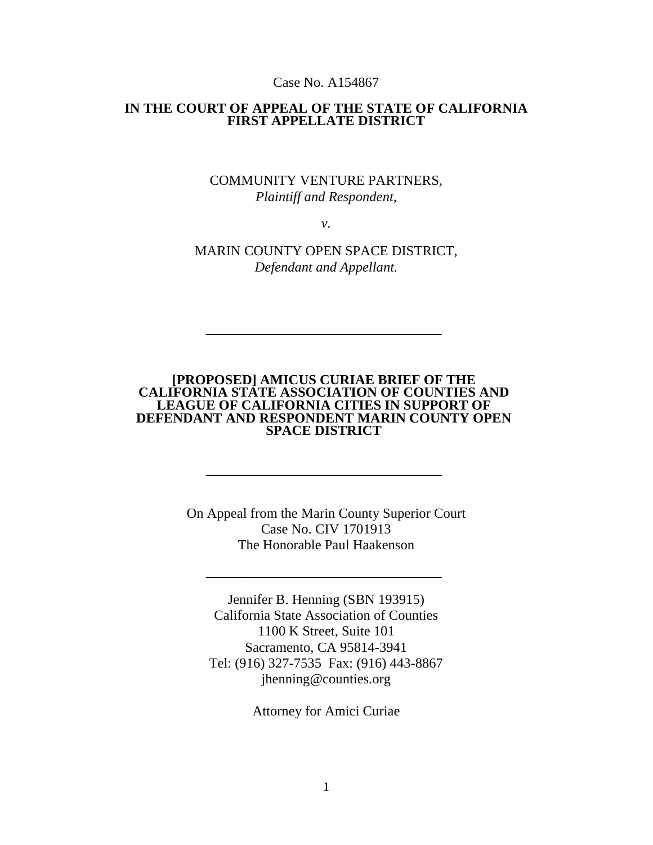#### Case No. A154867

#### **IN THE COURT OF APPEAL OF THE STATE OF CALIFORNIA FIRST APPELLATE DISTRICT**

### COMMUNITY VENTURE PARTNERS, *Plaintiff and Respondent,*

*v.*

MARIN COUNTY OPEN SPACE DISTRICT, *Defendant and Appellant.*

#### **[PROPOSED] AMICUS CURIAE BRIEF OF THE CALIFORNIA STATE ASSOCIATION OF COUNTIES AND LEAGUE OF CALIFORNIA CITIES IN SUPPORT OF DEFENDANT AND RESPONDENT MARIN COUNTY OPEN SPACE DISTRICT**

 $\sim$  . The contribution of the contribution of the contribution of the contribution of the contribution of the contribution of the contribution of the contribution of the contribution of the contribution of the contributi

 $\sim$  . The contribution of the contribution of the contribution of the contribution of the contribution of the contribution of the contribution of the contribution of the contribution of the contribution of the contributi

On Appeal from the Marin County Superior Court Case No. CIV 1701913 The Honorable Paul Haakenson

 $\overline{\phantom{a}}$  , which is a set of the set of the set of the set of the set of the set of the set of the set of the set of the set of the set of the set of the set of the set of the set of the set of the set of the set of th

Jennifer B. Henning (SBN 193915) California State Association of Counties 1100 K Street, Suite 101 Sacramento, CA 95814-3941 Tel: (916) 327-7535 Fax: (916) 443-8867 jhenning@counties.org

Attorney for Amici Curiae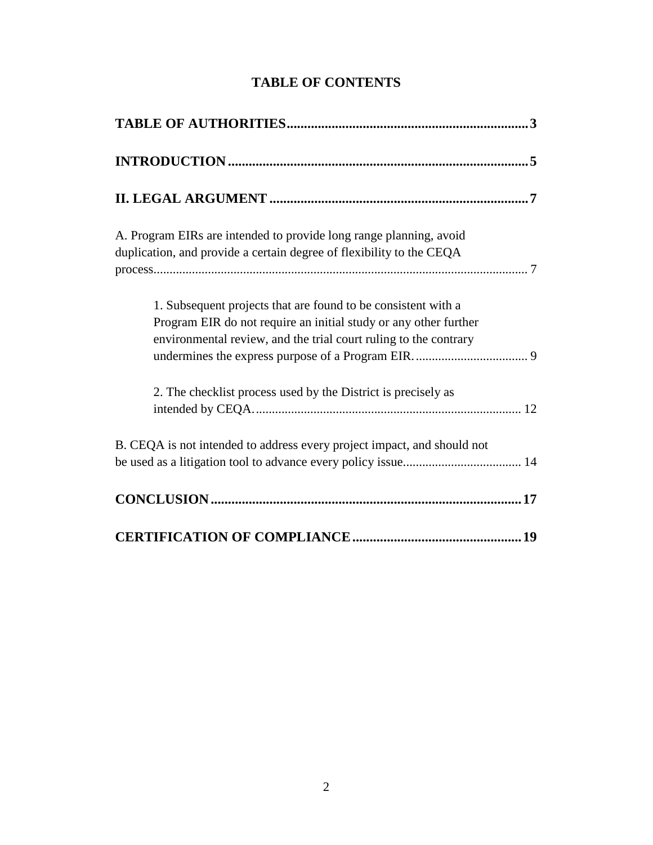| A. Program EIRs are intended to provide long range planning, avoid<br>duplication, and provide a certain degree of flexibility to the CEQA                                                            |  |
|-------------------------------------------------------------------------------------------------------------------------------------------------------------------------------------------------------|--|
| 1. Subsequent projects that are found to be consistent with a<br>Program EIR do not require an initial study or any other further<br>environmental review, and the trial court ruling to the contrary |  |
| 2. The checklist process used by the District is precisely as                                                                                                                                         |  |
| B. CEQA is not intended to address every project impact, and should not                                                                                                                               |  |
|                                                                                                                                                                                                       |  |
|                                                                                                                                                                                                       |  |

# **TABLE OF CONTENTS**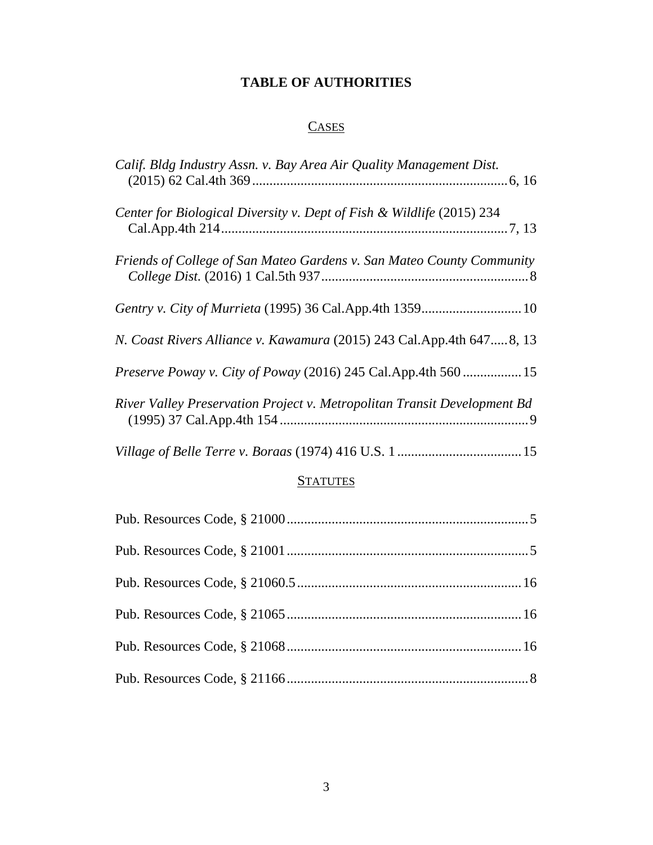# **TABLE OF AUTHORITIES**

# **CASES**

| Calif. Bldg Industry Assn. v. Bay Area Air Quality Management Dist.      |  |
|--------------------------------------------------------------------------|--|
| Center for Biological Diversity v. Dept of Fish & Wildlife (2015) 234    |  |
| Friends of College of San Mateo Gardens v. San Mateo County Community    |  |
| Gentry v. City of Murrieta (1995) 36 Cal.App.4th 1359 10                 |  |
| N. Coast Rivers Alliance v. Kawamura (2015) 243 Cal.App.4th 6478, 13     |  |
| Preserve Poway v. City of Poway (2016) 245 Cal.App.4th 560 15            |  |
| River Valley Preservation Project v. Metropolitan Transit Development Bd |  |
|                                                                          |  |

## **STATUTES**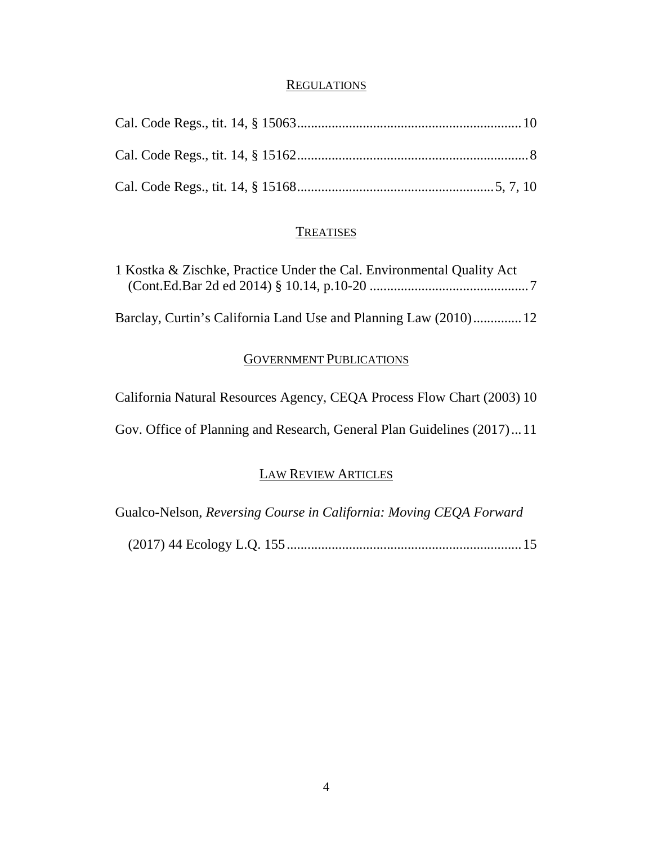#### **REGULATIONS**

# **TREATISES**

| 1 Kostka & Zischke, Practice Under the Cal. Environmental Quality Act |  |
|-----------------------------------------------------------------------|--|
|                                                                       |  |
|                                                                       |  |
| Barclay, Curtin's California Land Use and Planning Law (2010) 12      |  |

# GOVERNMENT PUBLICATIONS

| California Natural Resources Agency, CEQA Process Flow Chart (2003) 10 |  |
|------------------------------------------------------------------------|--|
| Gov. Office of Planning and Research, General Plan Guidelines (2017)11 |  |

## LAW REVIEW ARTICLES

Gualco-Nelson, *Reversing Course in California: Moving CEQA Forward* 

(2017) 44 Ecology L.Q. 155....................................................................15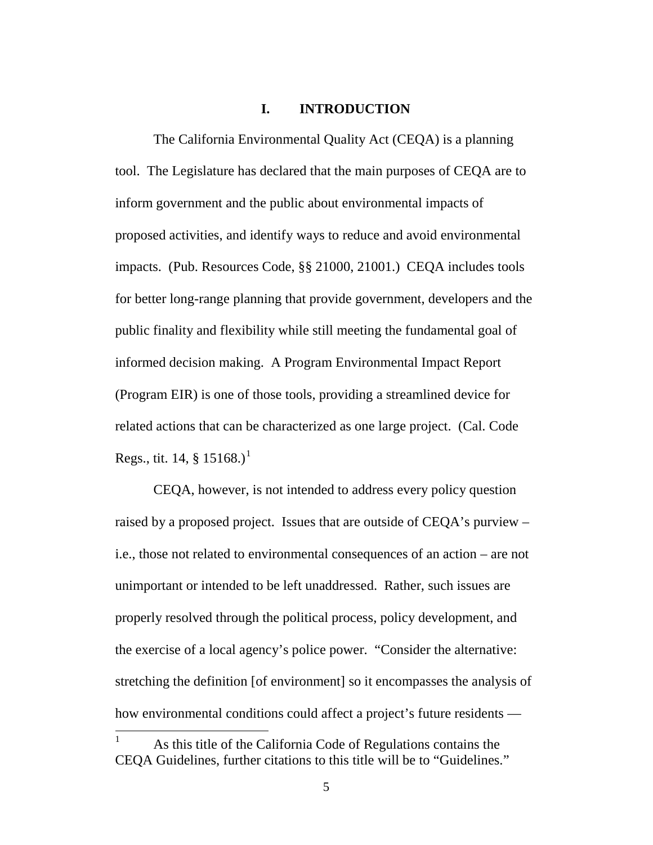### **I. INTRODUCTION**

The California Environmental Quality Act (CEQA) is a planning tool. The Legislature has declared that the main purposes of CEQA are to inform government and the public about environmental impacts of proposed activities, and identify ways to reduce and avoid environmental impacts. (Pub. Resources Code, §§ 21000, 21001.) CEQA includes tools for better long-range planning that provide government, developers and the public finality and flexibility while still meeting the fundamental goal of informed decision making. A Program Environmental Impact Report (Program EIR) is one of those tools, providing a streamlined device for related actions that can be characterized as one large project. (Cal. Code Regs., tit. [1](#page-4-0)4,  $\S 15168$ .)<sup>1</sup>

CEQA, however, is not intended to address every policy question raised by a proposed project. Issues that are outside of CEQA's purview – i.e., those not related to environmental consequences of an action – are not unimportant or intended to be left unaddressed. Rather, such issues are properly resolved through the political process, policy development, and the exercise of a local agency's police power. "Consider the alternative: stretching the definition [of environment] so it encompasses the analysis of how environmental conditions could affect a project's future residents —

<span id="page-4-0"></span> $1$  As this title of the California Code of Regulations contains the CEQA Guidelines, further citations to this title will be to "Guidelines."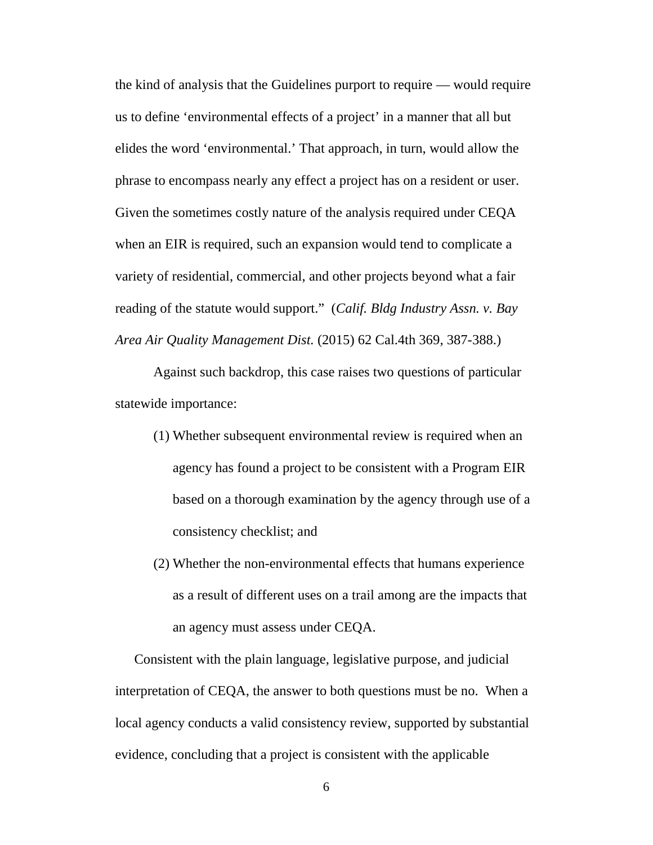the kind of analysis that the Guidelines purport to require — would require us to define 'environmental effects of a project' in a manner that all but elides the word 'environmental.' That approach, in turn, would allow the phrase to encompass nearly any effect a project has on a resident or user. Given the sometimes costly nature of the analysis required under CEQA when an EIR is required, such an expansion would tend to complicate a variety of residential, commercial, and other projects beyond what a fair reading of the statute would support." (*Calif. Bldg Industry Assn. v. Bay Area Air Quality Management Dist.* (2015) 62 Cal.4th 369, 387-388.)

Against such backdrop, this case raises two questions of particular statewide importance:

- (1) Whether subsequent environmental review is required when an agency has found a project to be consistent with a Program EIR based on a thorough examination by the agency through use of a consistency checklist; and
- (2) Whether the non-environmental effects that humans experience as a result of different uses on a trail among are the impacts that an agency must assess under CEQA.

Consistent with the plain language, legislative purpose, and judicial interpretation of CEQA, the answer to both questions must be no. When a local agency conducts a valid consistency review, supported by substantial evidence, concluding that a project is consistent with the applicable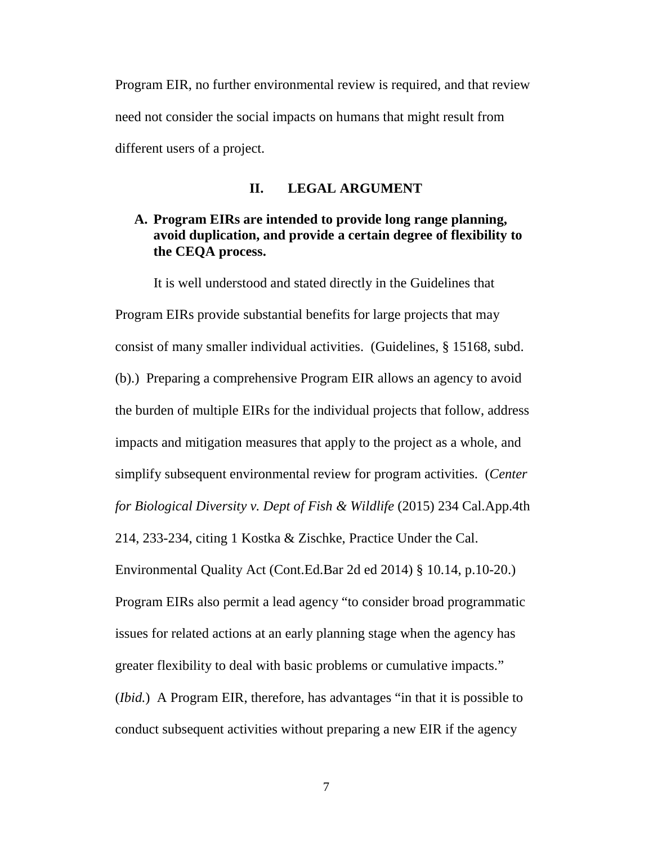Program EIR, no further environmental review is required, and that review need not consider the social impacts on humans that might result from different users of a project.

#### **II. LEGAL ARGUMENT**

## **A. Program EIRs are intended to provide long range planning, avoid duplication, and provide a certain degree of flexibility to the CEQA process.**

It is well understood and stated directly in the Guidelines that Program EIRs provide substantial benefits for large projects that may consist of many smaller individual activities. (Guidelines, § 15168, subd. (b).) Preparing a comprehensive Program EIR allows an agency to avoid the burden of multiple EIRs for the individual projects that follow, address impacts and mitigation measures that apply to the project as a whole, and simplify subsequent environmental review for program activities. (*Center for Biological Diversity v. Dept of Fish & Wildlife* (2015) 234 Cal.App.4th 214, 233-234, citing 1 Kostka & Zischke, Practice Under the Cal. Environmental Quality Act (Cont.Ed.Bar 2d ed 2014) § 10.14, p.10-20.) Program EIRs also permit a lead agency "to consider broad programmatic issues for related actions at an early planning stage when the agency has greater flexibility to deal with basic problems or cumulative impacts." (*Ibid.*) A Program EIR, therefore, has advantages "in that it is possible to conduct subsequent activities without preparing a new EIR if the agency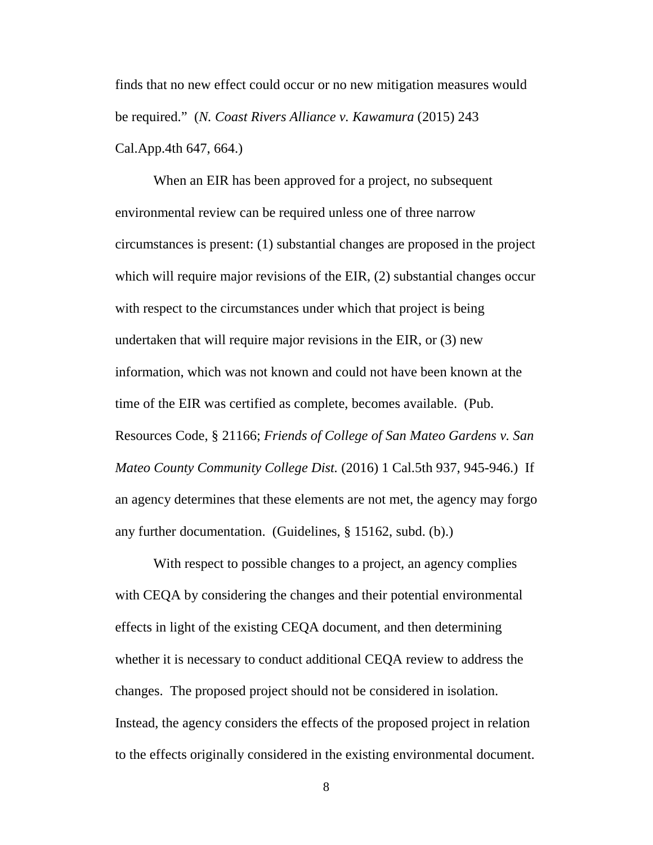finds that no new effect could occur or no new mitigation measures would be required." (*N. Coast Rivers Alliance v. Kawamura* (2015) 243 Cal.App.4th 647, 664.)

When an EIR has been approved for a project, no subsequent environmental review can be required unless one of three narrow circumstances is present: (1) substantial changes are proposed in the project which will require major revisions of the EIR, (2) substantial changes occur with respect to the circumstances under which that project is being undertaken that will require major revisions in the EIR, or (3) new information, which was not known and could not have been known at the time of the EIR was certified as complete, becomes available. (Pub. Resources Code, § 21166; *Friends of College of San Mateo Gardens v. San Mateo County Community College Dist.* (2016) 1 Cal.5th 937, 945-946.) If an agency determines that these elements are not met, the agency may forgo any further documentation. (Guidelines, § 15162, subd. (b).)

With respect to possible changes to a project, an agency complies with CEQA by considering the changes and their potential environmental effects in light of the existing CEQA document, and then determining whether it is necessary to conduct additional CEQA review to address the changes. The proposed project should not be considered in isolation. Instead, the agency considers the effects of the proposed project in relation to the effects originally considered in the existing environmental document.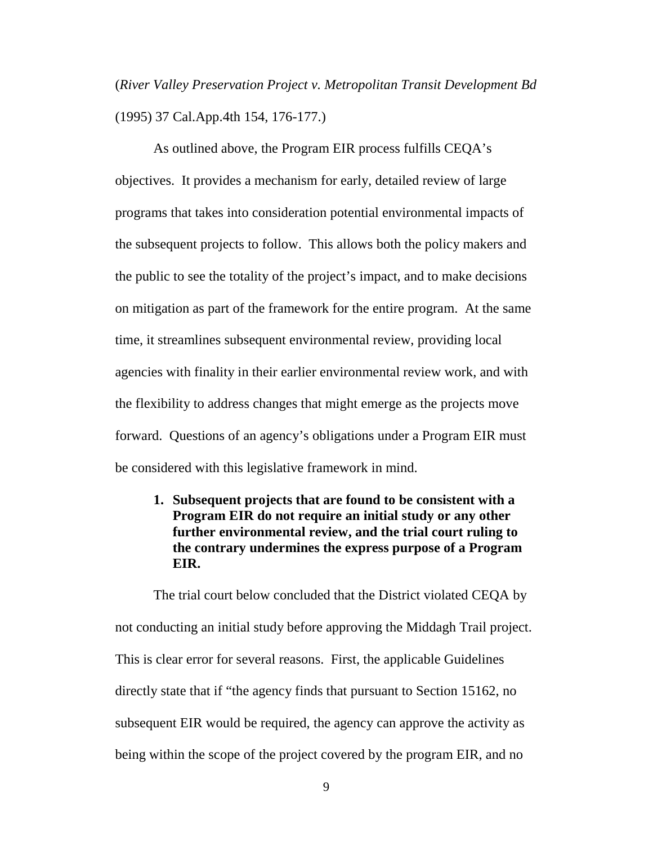(*River Valley Preservation Project v. Metropolitan Transit Development Bd*  (1995) 37 Cal.App.4th 154, 176-177.)

As outlined above, the Program EIR process fulfills CEQA's objectives. It provides a mechanism for early, detailed review of large programs that takes into consideration potential environmental impacts of the subsequent projects to follow. This allows both the policy makers and the public to see the totality of the project's impact, and to make decisions on mitigation as part of the framework for the entire program. At the same time, it streamlines subsequent environmental review, providing local agencies with finality in their earlier environmental review work, and with the flexibility to address changes that might emerge as the projects move forward. Questions of an agency's obligations under a Program EIR must be considered with this legislative framework in mind.

**1. Subsequent projects that are found to be consistent with a Program EIR do not require an initial study or any other further environmental review, and the trial court ruling to the contrary undermines the express purpose of a Program EIR.**

The trial court below concluded that the District violated CEQA by not conducting an initial study before approving the Middagh Trail project. This is clear error for several reasons. First, the applicable Guidelines directly state that if "the agency finds that pursuant to Section 15162, no subsequent EIR would be required, the agency can approve the activity as being within the scope of the project covered by the program EIR, and no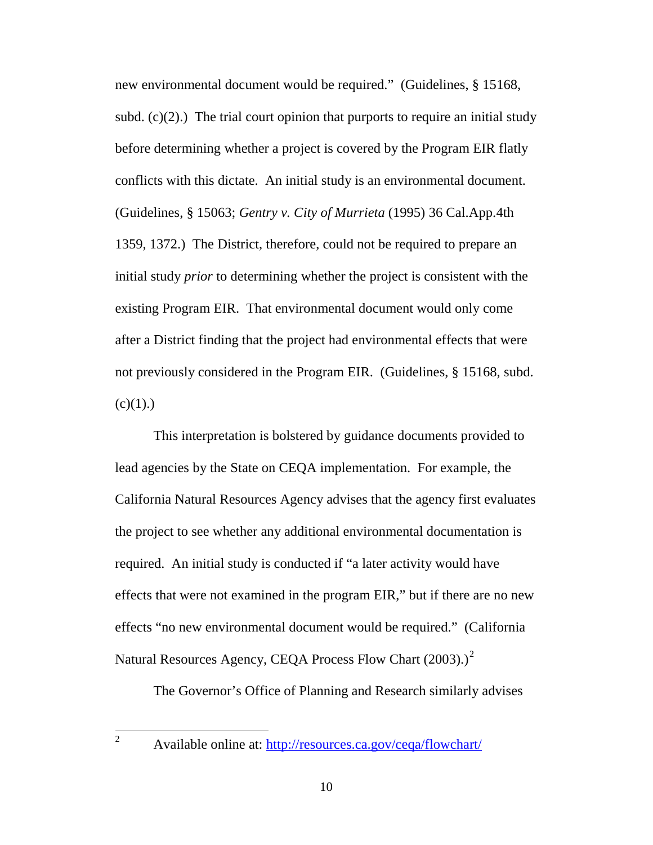new environmental document would be required." (Guidelines, § 15168, subd.  $(c)(2)$ .) The trial court opinion that purports to require an initial study before determining whether a project is covered by the Program EIR flatly conflicts with this dictate. An initial study is an environmental document. (Guidelines, § 15063; *Gentry v. City of Murrieta* (1995) 36 Cal.App.4th 1359, 1372.) The District, therefore, could not be required to prepare an initial study *prior* to determining whether the project is consistent with the existing Program EIR. That environmental document would only come after a District finding that the project had environmental effects that were not previously considered in the Program EIR. (Guidelines, § 15168, subd.  $(c)(1)$ .)

This interpretation is bolstered by guidance documents provided to lead agencies by the State on CEQA implementation. For example, the California Natural Resources Agency advises that the agency first evaluates the project to see whether any additional environmental documentation is required. An initial study is conducted if "a later activity would have effects that were not examined in the program EIR," but if there are no new effects "no new environmental document would be required." (California Natural Resources Agency, CEOA Process Flow Chart ([2](#page-9-0)003).)<sup>2</sup>

The Governor's Office of Planning and Research similarly advises

<span id="page-9-0"></span>

<sup>&</sup>lt;sup>2</sup> Available online at:<http://resources.ca.gov/ceqa/flowchart/>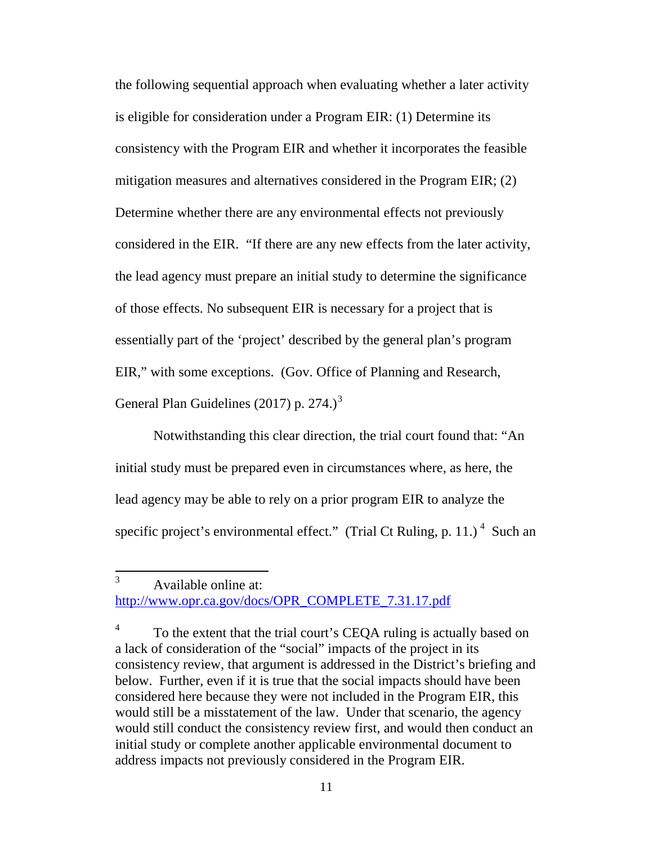the following sequential approach when evaluating whether a later activity is eligible for consideration under a Program EIR: (1) Determine its consistency with the Program EIR and whether it incorporates the feasible mitigation measures and alternatives considered in the Program EIR; (2) Determine whether there are any environmental effects not previously considered in the EIR. "If there are any new effects from the later activity, the lead agency must prepare an initial study to determine the significance of those effects. No subsequent EIR is necessary for a project that is essentially part of the 'project' described by the general plan's program EIR," with some exceptions. (Gov. Office of Planning and Research, General Plan Guidelines (2017) p. 274.)<sup>[3](#page-10-0)</sup>

Notwithstanding this clear direction, the trial court found that: "An initial study must be prepared even in circumstances where, as here, the lead agency may be able to rely on a prior program EIR to analyze the specific project's environmental effect." (Trial Ct Ruling, p. 11.)<sup>[4](#page-10-1)</sup> Such an

<span id="page-10-0"></span> <sup>3</sup> Available online at: [http://www.opr.ca.gov/docs/OPR\\_COMPLETE\\_7.31.17.pdf](http://www.opr.ca.gov/docs/OPR_COMPLETE_7.31.17.pdf)

<span id="page-10-1"></span><sup>&</sup>lt;sup>4</sup> To the extent that the trial court's CEOA ruling is actually based on a lack of consideration of the "social" impacts of the project in its consistency review, that argument is addressed in the District's briefing and below. Further, even if it is true that the social impacts should have been considered here because they were not included in the Program EIR, this would still be a misstatement of the law. Under that scenario, the agency would still conduct the consistency review first, and would then conduct an initial study or complete another applicable environmental document to address impacts not previously considered in the Program EIR.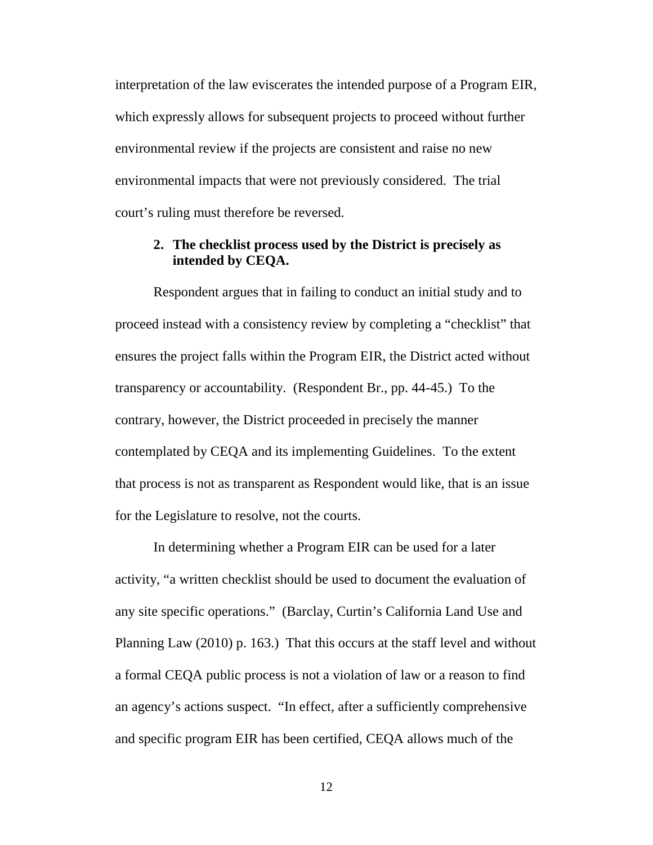interpretation of the law eviscerates the intended purpose of a Program EIR, which expressly allows for subsequent projects to proceed without further environmental review if the projects are consistent and raise no new environmental impacts that were not previously considered. The trial court's ruling must therefore be reversed.

### **2. The checklist process used by the District is precisely as intended by CEQA.**

Respondent argues that in failing to conduct an initial study and to proceed instead with a consistency review by completing a "checklist" that ensures the project falls within the Program EIR, the District acted without transparency or accountability. (Respondent Br., pp. 44-45.) To the contrary, however, the District proceeded in precisely the manner contemplated by CEQA and its implementing Guidelines. To the extent that process is not as transparent as Respondent would like, that is an issue for the Legislature to resolve, not the courts.

In determining whether a Program EIR can be used for a later activity, "a written checklist should be used to document the evaluation of any site specific operations." (Barclay, Curtin's California Land Use and Planning Law (2010) p. 163.) That this occurs at the staff level and without a formal CEQA public process is not a violation of law or a reason to find an agency's actions suspect. "In effect, after a sufficiently comprehensive and specific program EIR has been certified, CEQA allows much of the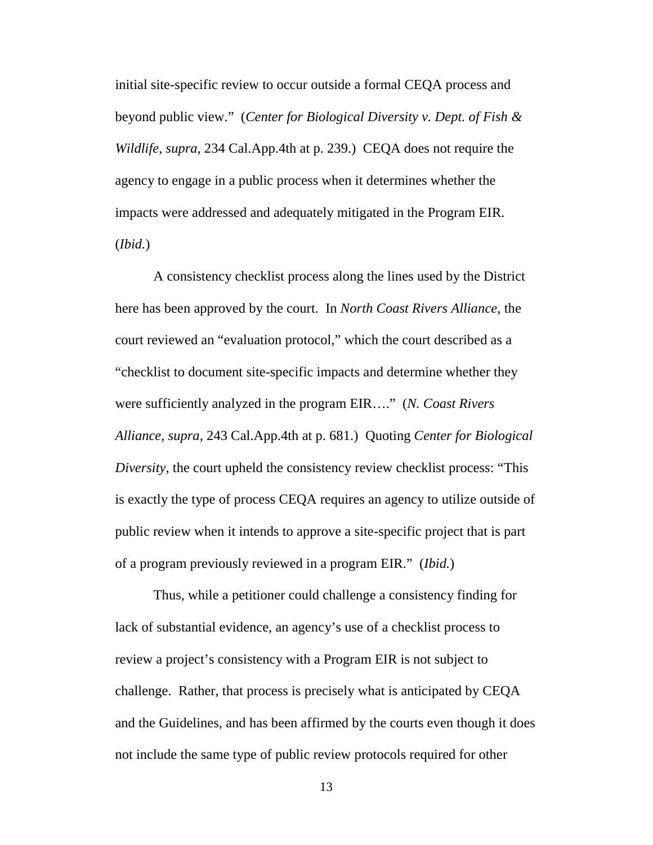initial site-specific review to occur outside a formal CEQA process and beyond public view." (*Center for Biological Diversity v. Dept. of Fish & Wildlife, supra,* 234 Cal.App.4th at p. 239.) CEQA does not require the agency to engage in a public process when it determines whether the impacts were addressed and adequately mitigated in the Program EIR. (*Ibid.*)

A consistency checklist process along the lines used by the District here has been approved by the court. In *North Coast Rivers Alliance,* the court reviewed an "evaluation protocol," which the court described as a "checklist to document site-specific impacts and determine whether they were sufficiently analyzed in the program EIR…." (*N. Coast Rivers Alliance, supra,* 243 Cal.App.4th at p. 681.) Quoting *Center for Biological Diversity*, the court upheld the consistency review checklist process: "This is exactly the type of process CEQA requires an agency to utilize outside of public review when it intends to approve a site-specific project that is part of a program previously reviewed in a program EIR." (*Ibid.*)

Thus, while a petitioner could challenge a consistency finding for lack of substantial evidence, an agency's use of a checklist process to review a project's consistency with a Program EIR is not subject to challenge. Rather, that process is precisely what is anticipated by CEQA and the Guidelines, and has been affirmed by the courts even though it does not include the same type of public review protocols required for other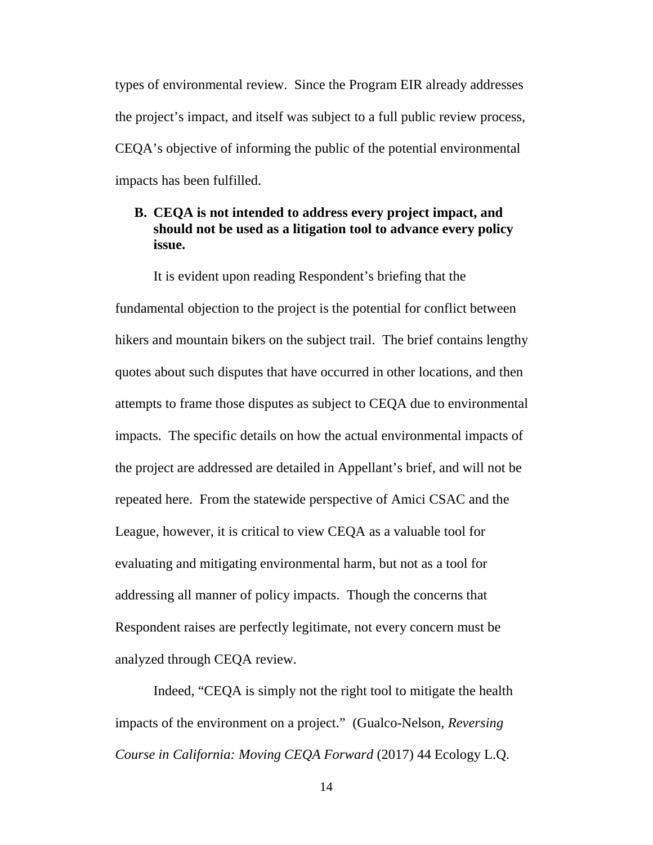types of environmental review. Since the Program EIR already addresses the project's impact, and itself was subject to a full public review process, CEQA's objective of informing the public of the potential environmental impacts has been fulfilled.

## **B. CEQA is not intended to address every project impact, and should not be used as a litigation tool to advance every policy issue.**

It is evident upon reading Respondent's briefing that the fundamental objection to the project is the potential for conflict between hikers and mountain bikers on the subject trail. The brief contains lengthy quotes about such disputes that have occurred in other locations, and then attempts to frame those disputes as subject to CEQA due to environmental impacts. The specific details on how the actual environmental impacts of the project are addressed are detailed in Appellant's brief, and will not be repeated here. From the statewide perspective of Amici CSAC and the League, however, it is critical to view CEQA as a valuable tool for evaluating and mitigating environmental harm, but not as a tool for addressing all manner of policy impacts. Though the concerns that Respondent raises are perfectly legitimate, not every concern must be analyzed through CEQA review.

Indeed, "CEQA is simply not the right tool to mitigate the health impacts of the environment on a project." (Gualco-Nelson, *Reversing Course in California: Moving CEQA Forward* (2017) 44 Ecology L.Q.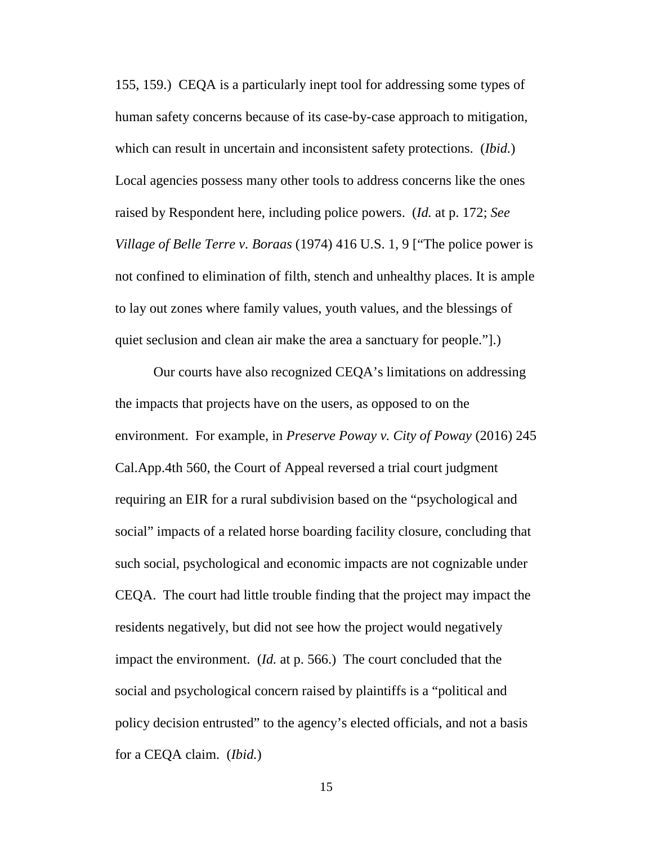155, 159.) CEQA is a particularly inept tool for addressing some types of human safety concerns because of its case-by-case approach to mitigation, which can result in uncertain and inconsistent safety protections. (*Ibid.*) Local agencies possess many other tools to address concerns like the ones raised by Respondent here, including police powers. (*Id.* at p. 172; *See Village of Belle Terre v. Boraas* (1974) 416 U.S. 1, 9 ["The police power is not confined to elimination of filth, stench and unhealthy places. It is ample to lay out zones where family values, youth values, and the blessings of quiet seclusion and clean air make the area a sanctuary for people."].)

Our courts have also recognized CEQA's limitations on addressing the impacts that projects have on the users, as opposed to on the environment. For example, in *Preserve Poway v. City of Poway* (2016) 245 Cal.App.4th 560, the Court of Appeal reversed a trial court judgment requiring an EIR for a rural subdivision based on the "psychological and social" impacts of a related horse boarding facility closure, concluding that such social, psychological and economic impacts are not cognizable under CEQA. The court had little trouble finding that the project may impact the residents negatively, but did not see how the project would negatively impact the environment. (*Id.* at p. 566.) The court concluded that the social and psychological concern raised by plaintiffs is a "political and policy decision entrusted" to the agency's elected officials, and not a basis for a CEQA claim. (*Ibid.*)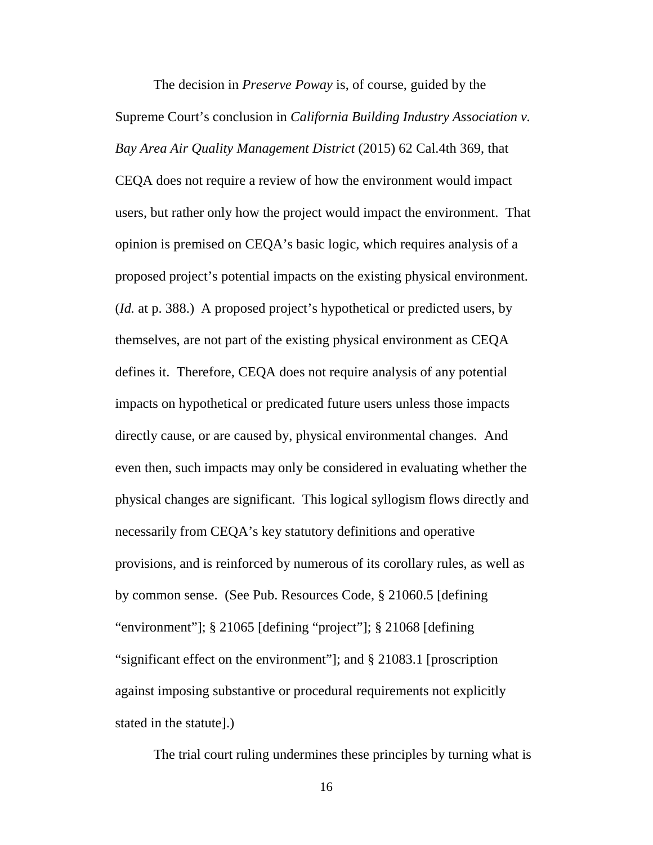The decision in *Preserve Poway* is, of course, guided by the Supreme Court's conclusion in *California Building Industry Association v. Bay Area Air Quality Management District* (2015) 62 Cal.4th 369, that CEQA does not require a review of how the environment would impact users, but rather only how the project would impact the environment. That opinion is premised on CEQA's basic logic, which requires analysis of a proposed project's potential impacts on the existing physical environment. (*Id.* at p. 388.) A proposed project's hypothetical or predicted users, by themselves, are not part of the existing physical environment as CEQA defines it. Therefore, CEQA does not require analysis of any potential impacts on hypothetical or predicated future users unless those impacts directly cause, or are caused by, physical environmental changes. And even then, such impacts may only be considered in evaluating whether the physical changes are significant. This logical syllogism flows directly and necessarily from CEQA's key statutory definitions and operative provisions, and is reinforced by numerous of its corollary rules, as well as by common sense. (See Pub. Resources Code, § 21060.5 [defining "environment"]; § 21065 [defining "project"]; § 21068 [defining "significant effect on the environment"]; and § 21083.1 [proscription against imposing substantive or procedural requirements not explicitly stated in the statute].)

The trial court ruling undermines these principles by turning what is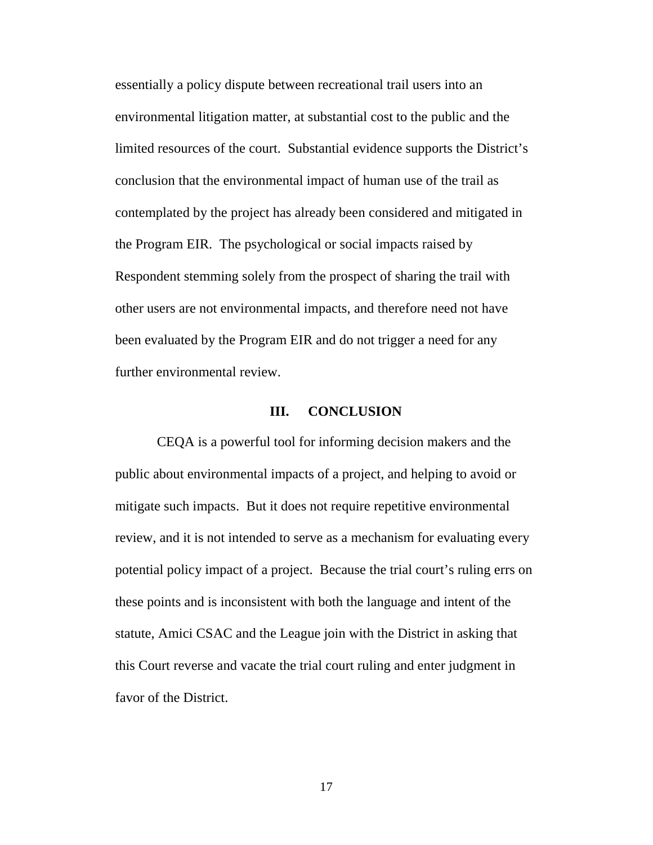essentially a policy dispute between recreational trail users into an environmental litigation matter, at substantial cost to the public and the limited resources of the court. Substantial evidence supports the District's conclusion that the environmental impact of human use of the trail as contemplated by the project has already been considered and mitigated in the Program EIR. The psychological or social impacts raised by Respondent stemming solely from the prospect of sharing the trail with other users are not environmental impacts, and therefore need not have been evaluated by the Program EIR and do not trigger a need for any further environmental review.

### **III. CONCLUSION**

CEQA is a powerful tool for informing decision makers and the public about environmental impacts of a project, and helping to avoid or mitigate such impacts. But it does not require repetitive environmental review, and it is not intended to serve as a mechanism for evaluating every potential policy impact of a project. Because the trial court's ruling errs on these points and is inconsistent with both the language and intent of the statute, Amici CSAC and the League join with the District in asking that this Court reverse and vacate the trial court ruling and enter judgment in favor of the District.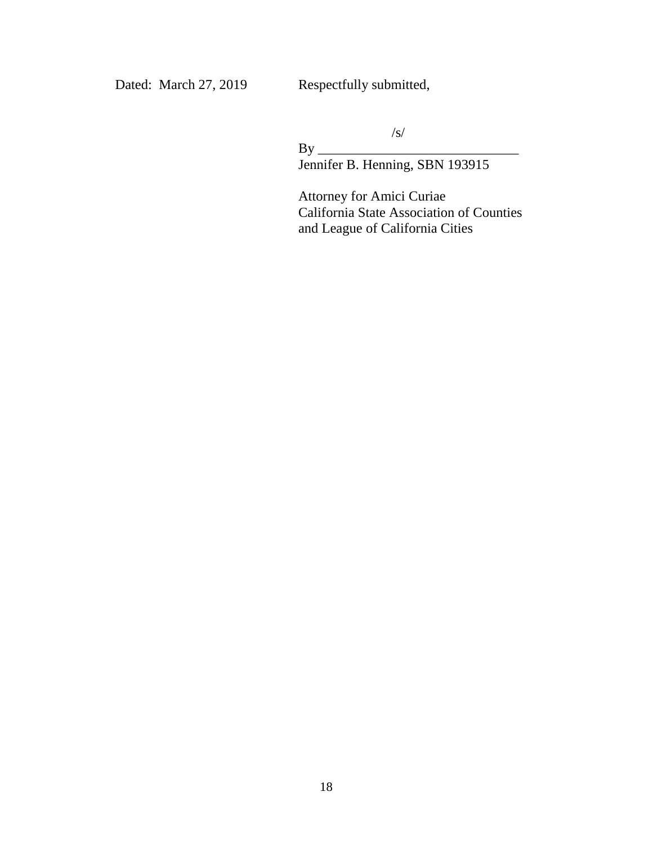Dated: March 27, 2019 Respectfully submitted,

/s/

By \_\_\_\_\_\_\_\_\_\_\_\_\_\_\_\_\_\_\_\_\_\_\_\_\_\_\_\_\_ Jennifer B. Henning, SBN 193915

Attorney for Amici Curiae California State Association of Counties and League of California Cities